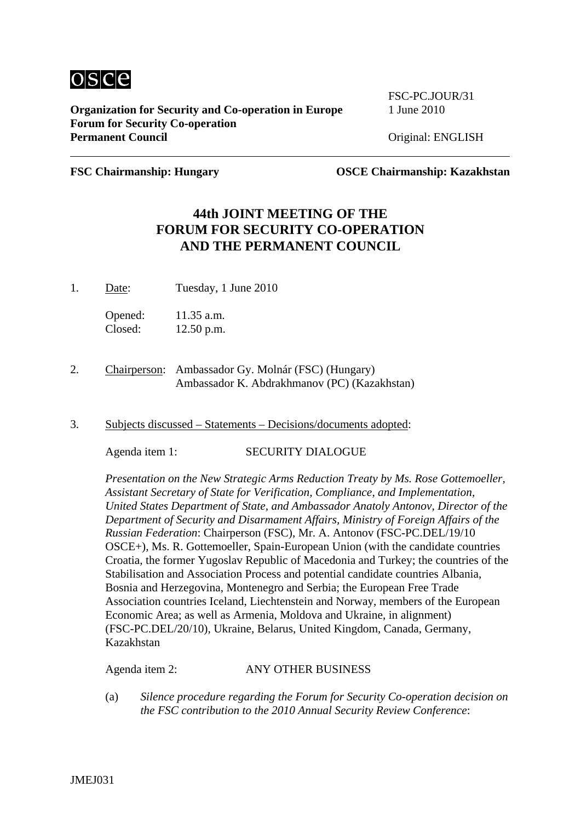

**Organization for Security and Co-operation in Europe** 1 June 2010 **Forum for Security Co-operation**  Permanent Council **Council** Original: ENGLISH

FSC-PC.JOUR/31

**FSC Chairmanship: Hungary OSCE Chairmanship: Kazakhstan**

## **44th JOINT MEETING OF THE FORUM FOR SECURITY CO-OPERATION AND THE PERMANENT COUNCIL**

1. Date: Tuesday, 1 June 2010

Opened: 11.35 a.m. Closed: 12.50 p.m.

- 2. Chairperson: Ambassador Gy. Molnár (FSC) (Hungary) Ambassador K. Abdrakhmanov (PC) (Kazakhstan)
- 3. Subjects discussed Statements Decisions/documents adopted:

Agenda item 1: SECURITY DIALOGUE

*Presentation on the New Strategic Arms Reduction Treaty by Ms. Rose Gottemoeller, Assistant Secretary of State for Verification, Compliance, and Implementation, United States Department of State, and Ambassador Anatoly Antonov, Director of the Department of Security and Disarmament Affairs, Ministry of Foreign Affairs of the Russian Federation*: Chairperson (FSC), Mr. A. Antonov (FSC-PC.DEL/19/10 OSCE+), Ms. R. Gottemoeller, Spain-European Union (with the candidate countries Croatia, the former Yugoslav Republic of Macedonia and Turkey; the countries of the Stabilisation and Association Process and potential candidate countries Albania, Bosnia and Herzegovina, Montenegro and Serbia; the European Free Trade Association countries Iceland, Liechtenstein and Norway, members of the European Economic Area; as well as Armenia, Moldova and Ukraine, in alignment) (FSC-PC.DEL/20/10), Ukraine, Belarus, United Kingdom, Canada, Germany, Kazakhstan

Agenda item 2: ANY OTHER BUSINESS

(a) *Silence procedure regarding the Forum for Security Co-operation decision on the FSC contribution to the 2010 Annual Security Review Conference*: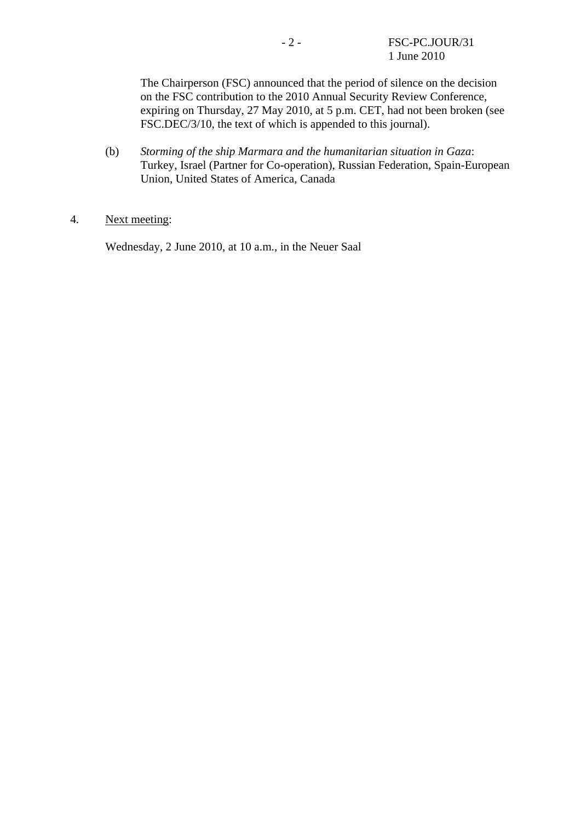The Chairperson (FSC) announced that the period of silence on the decision on the FSC contribution to the 2010 Annual Security Review Conference, expiring on Thursday, 27 May 2010, at 5 p.m. CET, had not been broken (see FSC.DEC/3/10, the text of which is appended to this journal).

(b) *Storming of the ship Marmara and the humanitarian situation in Gaza*: Turkey, Israel (Partner for Co-operation), Russian Federation, Spain-European Union, United States of America, Canada

## 4. Next meeting:

Wednesday, 2 June 2010, at 10 a.m., in the Neuer Saal